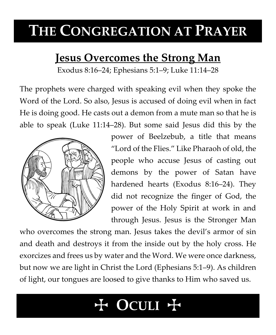## **THE CONGREGATION AT PRAYER**

### **Jesus Overcomes the Strong Man**

Exodus 8:16–24; Ephesians 5:1–9; Luke 11:14–28

The prophets were charged with speaking evil when they spoke the Word of the Lord. So also, Jesus is accused of doing evil when in fact He is doing good. He casts out a demon from a mute man so that he is able to speak (Luke 11:14–28). But some said Jesus did this by the



power of Beelzebub, a title that means "Lord of the Flies." Like Pharaoh of old, the people who accuse Jesus of casting out demons by the power of Satan have hardened hearts (Exodus 8:16–24). They did not recognize the finger of God, the power of the Holy Spirit at work in and through Jesus. Jesus is the Stronger Man

who overcomes the strong man. Jesus takes the devil's armor of sin and death and destroys it from the inside out by the holy cross. He exorcizes and frees us by water and the Word. We were once darkness, but now we are light in Christ the Lord (Ephesians 5:1–9). As children of light, our tongues are loosed to give thanks to Him who saved us.

# T **OCULI** T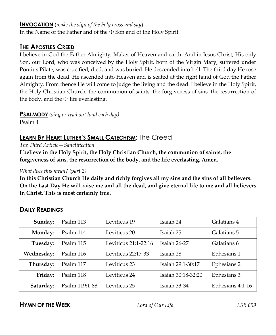#### **INVOCATION** (*make the sign of the holy cross and say*)

In the Name of the Father and of the  $\pm$  Son and of the Holy Spirit.

#### **THE APOSTLES CREED**

I believe in God the Father Almighty, Maker of Heaven and earth. And in Jesus Christ, His only Son, our Lord, who was conceived by the Holy Spirit, born of the Virgin Mary, suffered under Pontius Pilate, was crucified, died, and was buried. He descended into hell. The third day He rose again from the dead. He ascended into Heaven and is seated at the right hand of God the Father Almighty. From thence He will come to judge the living and the dead. I believe in the Holy Spirit, the Holy Christian Church, the communion of saints, the forgiveness of sins, the resurrection of the body, and the  $\pm$  life everlasting.

**PSALMODY** *(sing or read out loud each day)*

Psalm 4

#### **LEARN BY HEART LUTHER'S SMALL CATECHISM**: The Creed

*The Third Article—Sanctification*

**I believe in the Holy Spirit, the Holy Christian Church, the communion of saints, the forgiveness of sins, the resurrection of the body, and the life everlasting. Amen.**

#### *What does this mean? (part 2)*

**In this Christian Church He daily and richly forgives all my sins and the sins of all believers. On the Last Day He will raise me and all the dead, and give eternal life to me and all believers in Christ. This is most certainly true.**

| Sunday:    | Psalm 113      | Leviticus 19         | Isaiah 24          | Galatians 4      |
|------------|----------------|----------------------|--------------------|------------------|
| Monday:    | Psalm 114      | Leviticus 20         | Isaiah 25          | Galatians 5      |
| Tuesday:   | Psalm 115      | Leviticus 21:1-22:16 | Isaiah 26-27       | Galatians 6      |
| Wednesday: | Psalm 116      | Leviticus 22:17-33   | Isaiah 28          | Ephesians 1      |
| Thursday:  | Psalm 117      | Leviticus 23         | Isaiah 29:1-30:17  | Ephesians 2      |
| Friday:    | Psalm 118      | Leviticus 24         | Isaiah 30:18-32:20 | Ephesians 3      |
| Saturday:  | Psalm 119:1-88 | Leviticus 25         | Isaiah 33-34       | Ephesians 4:1-16 |

#### **DAILY READINGS**

#### **HYMN OF THE WEEK** *Lord of Our Life LSB 659*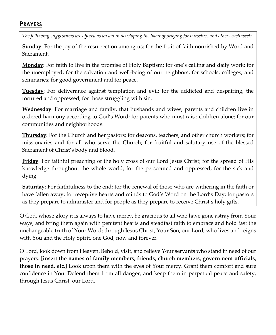#### **PRAYERS**

*The following suggestions are offered as an aid in developing the habit of praying for ourselves and others each week:*

**Sunday**: For the joy of the resurrection among us; for the fruit of faith nourished by Word and Sacrament.

**Monday**: For faith to live in the promise of Holy Baptism; for one's calling and daily work; for the unemployed; for the salvation and well-being of our neighbors; for schools, colleges, and seminaries; for good government and for peace.

**Tuesday**: For deliverance against temptation and evil; for the addicted and despairing, the tortured and oppressed; for those struggling with sin.

**Wednesday**: For marriage and family, that husbands and wives, parents and children live in ordered harmony according to God's Word; for parents who must raise children alone; for our communities and neighborhoods.

**Thursday**: For the Church and her pastors; for deacons, teachers, and other church workers; for missionaries and for all who serve the Church; for fruitful and salutary use of the blessed Sacrament of Christ's body and blood.

**Friday**: For faithful preaching of the holy cross of our Lord Jesus Christ; for the spread of His knowledge throughout the whole world; for the persecuted and oppressed; for the sick and dying.

**Saturday**: For faithfulness to the end; for the renewal of those who are withering in the faith or have fallen away; for receptive hearts and minds to God's Word on the Lord's Day; for pastors as they prepare to administer and for people as they prepare to receive Christ's holy gifts.

O God, whose glory it is always to have mercy, be gracious to all who have gone astray from Your ways, and bring them again with penitent hearts and steadfast faith to embrace and hold fast the unchangeable truth of Your Word; through Jesus Christ, Your Son, our Lord, who lives and reigns with You and the Holy Spirit, one God, now and forever.

O Lord, look down from Heaven. Behold, visit, and relieve Your servants who stand in need of our prayers: **[insert the names of family members, friends, church members, government officials, those in need, etc.]** Look upon them with the eyes of Your mercy. Grant them comfort and sure confidence in You. Defend them from all danger, and keep them in perpetual peace and safety, through Jesus Christ, our Lord.